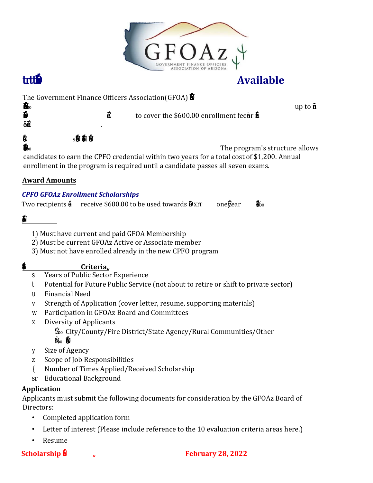

## **Available**

The Government Finance Officers Association(GFOA)  $\ddot{\mathbf{F}}$ <sup>0</sup> - - $\frac{1}{2}$  œ–'ƒ™"†–'‹••‡""•ä  $\blacksquare$ 

to cover the \$600.00 enrollment fee for one year of enrollment

in FO's CPFO program.

nrollment costs include ive exam attempts  $t_0$  or ree A e learning e inars and access to a

xam rep product ith over tent recorded seminars. The program's structure allows candidates to earn the CPFO credential within two years for a total cost of \$1,200. Annual enrollment in the program is required until a candidate passes all seven exams.

### **Award Amounts**

#### *CPFO GFOAz Enrollment Scholarships*

Two recipients will receive \$600.00 to be used towards the \$600 one year CPFO enrollment fee.

#### ligibility

- 1) Must have current and paid GFOA Membership
- 2) Must be current GFOAz Active or Associate member
- 3) Must not have enrolled already in the new CPFO program

#### Other valuation **Criteriaã**

- **s-**  Years of Public Sector Experience
- t- Potential for Future Public Service (not about to retire or shift to private sector)
- u- Financial Need
- v- Strength of Application (cover letter, resume, supporting materials)
- w- Participation in GFOAz Board and Committees
- x- Diversity of Applicants
	- $\ddot{\phi}$  City/County/Fire District/State Agency/Rural Communities/Other
	- "ä …–‹˜‡-•'…‹ƒ–‡•"‡"•Š‹'
- y- Size of Agency
- z- Scope of Job Responsibilities
- {- Number of Times Applied/Received Scholarship
- sr- Educational Background

#### **Application**

Applicants must submit the following documents for consideration by the GFOAz Board of Directors:

- Completed application form
- Letter of interest (Please include reference to the 10 evaluation criteria areas here.)
- Resume
- **Scholarship**  $\dot{\mathbf{r}}$   $\ddot{\mathbf{a}}$  **<b>** $\ddot{\mathbf{B}}$  **February 28, 2022**